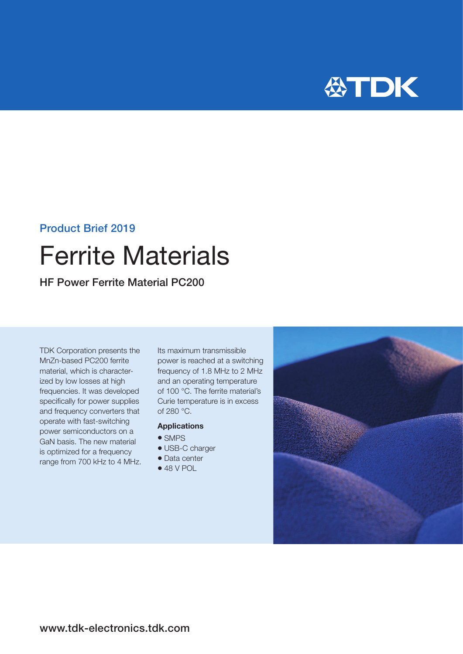

### Product Brief 2019

# Ferrite Materials

HF Power Ferrite Material PC200

TDK Corporation presents the MnZn-based PC200 ferrite material, which is characterized by low losses at high frequencies. It was developed specifically for power supplies and frequency converters that operate with fast-switching power semiconductors on a GaN basis. The new material is optimized for a frequency range from 700 kHz to 4 MHz. Its maximum transmissible power is reached at a switching frequency of 1.8 MHz to 2 MHz and an operating temperature of 100 °C. The ferrite material's Curie temperature is in excess of 280 °C.

#### Applications

- $\bullet$  SMPS
- $\bullet$  USB-C charger
- Data center
- $48 V POL$

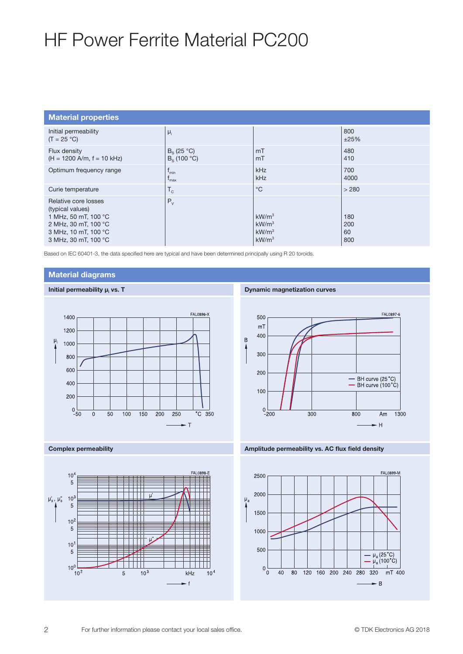## HF Power Ferrite Material PC200

| <b>Material properties</b>                                                                                                               |                                      |                                                                                  |                         |
|------------------------------------------------------------------------------------------------------------------------------------------|--------------------------------------|----------------------------------------------------------------------------------|-------------------------|
| Initial permeability<br>$(T = 25 °C)$                                                                                                    | $\mu_i$                              |                                                                                  | 800<br>±25%             |
| Flux density<br>$(H = 1200$ A/m, $f = 10$ kHz)                                                                                           | $B_s$ (25 °C)<br>$B_s$ (100 °C)      | mT<br>mT                                                                         | 480<br>410              |
| Optimum frequency range                                                                                                                  | $\mathsf{I}_{\text{min}}$<br>$I$ max | <b>kHz</b><br>kHz                                                                | 700<br>4000             |
| Curie temperature                                                                                                                        | $T_{\rm C}$                          | $^{\circ}C$                                                                      | > 280                   |
| Relative core losses<br>(typical values)<br>1 MHz, 50 mT, 100 °C<br>2 MHz, 30 mT, 100 °C<br>3 MHz, 10 mT, 100 °C<br>3 MHz, 30 mT, 100 °C | $P_V$                                | kW/m <sup>3</sup><br>kW/m <sup>3</sup><br>kW/m <sup>3</sup><br>kW/m <sup>3</sup> | 180<br>200<br>60<br>800 |

Based on IEC 60401-3, the data specified here are typical and have been determined principally using R 20 toroids.

#### Material diagrams







#### Dynamic magnetization curves



Complex permeability Amplitude permeability vs. AC flux field density

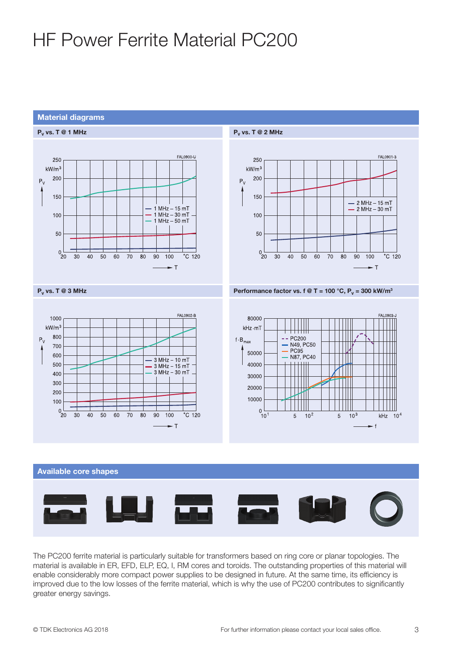## HF Power Ferrite Material PC200

#### Material diagrams





The PC200 ferrite material is particularly suitable for transformers based on ring core or planar topologies. The material is available in ER, EFD, ELP, EQ, I, RM cores and toroids. The outstanding properties of this material will enable considerably more compact power supplies to be designed in future. At the same time, its efficiency is improved due to the low losses of the ferrite material, which is why the use of PC200 contributes to significantly greater energy savings.